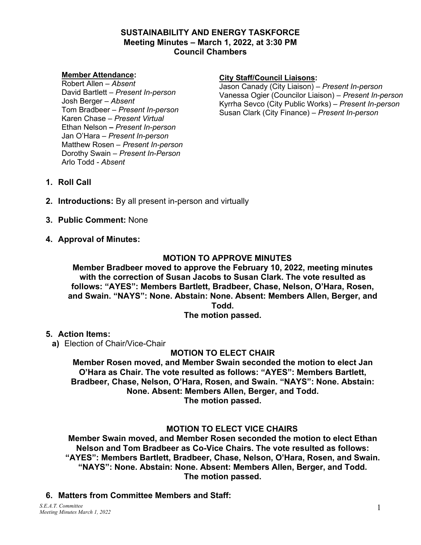#### **SUSTAINABILITY AND ENERGY TASKFORCE Meeting Minutes – March 1, 2022, at 3:30 PM Council Chambers**

#### **Member Attendance:**

Robert Allen *– Absent* David Bartlett *– Present In-person* Josh Berger *– Absent* Tom Bradbeer *– Present In-person* Karen Chase *– Present Virtual* Ethan Nelson *– Present In-person* Jan O'Hara *– Present In-person* Matthew Rosen *– Present In-person* Dorothy Swain *– Present In-Person* Arlo Todd *- Absent*

#### **City Staff/Council Liaisons:**

Jason Canady (City Liaison) – *Present In-person* Vanessa Ogier (Councilor Liaison) – *Present In-person* Kyrrha Sevco (City Public Works) – *Present In-person* Susan Clark (City Finance) – *Present In-person*

- **1. Roll Call**
- **2. Introductions:** By all present in-person and virtually
- **3. Public Comment:** None
- **4. Approval of Minutes:**

### **MOTION TO APPROVE MINUTES**

**Member Bradbeer moved to approve the February 10, 2022, meeting minutes with the correction of Susan Jacobs to Susan Clark. The vote resulted as follows: "AYES": Members Bartlett, Bradbeer, Chase, Nelson, O'Hara, Rosen, and Swain. "NAYS": None. Abstain: None. Absent: Members Allen, Berger, and Todd.** 

**The motion passed.**

**5. Action Items:**

**a)** Election of Chair/Vice-Chair

### **MOTION TO ELECT CHAIR**

**Member Rosen moved, and Member Swain seconded the motion to elect Jan O'Hara as Chair. The vote resulted as follows: "AYES": Members Bartlett, Bradbeer, Chase, Nelson, O'Hara, Rosen, and Swain. "NAYS": None. Abstain: None. Absent: Members Allen, Berger, and Todd. The motion passed.**

### **MOTION TO ELECT VICE CHAIRS**

**Member Swain moved, and Member Rosen seconded the motion to elect Ethan Nelson and Tom Bradbeer as Co-Vice Chairs. The vote resulted as follows: "AYES": Members Bartlett, Bradbeer, Chase, Nelson, O'Hara, Rosen, and Swain. "NAYS": None. Abstain: None. Absent: Members Allen, Berger, and Todd. The motion passed.**

**6. Matters from Committee Members and Staff:**